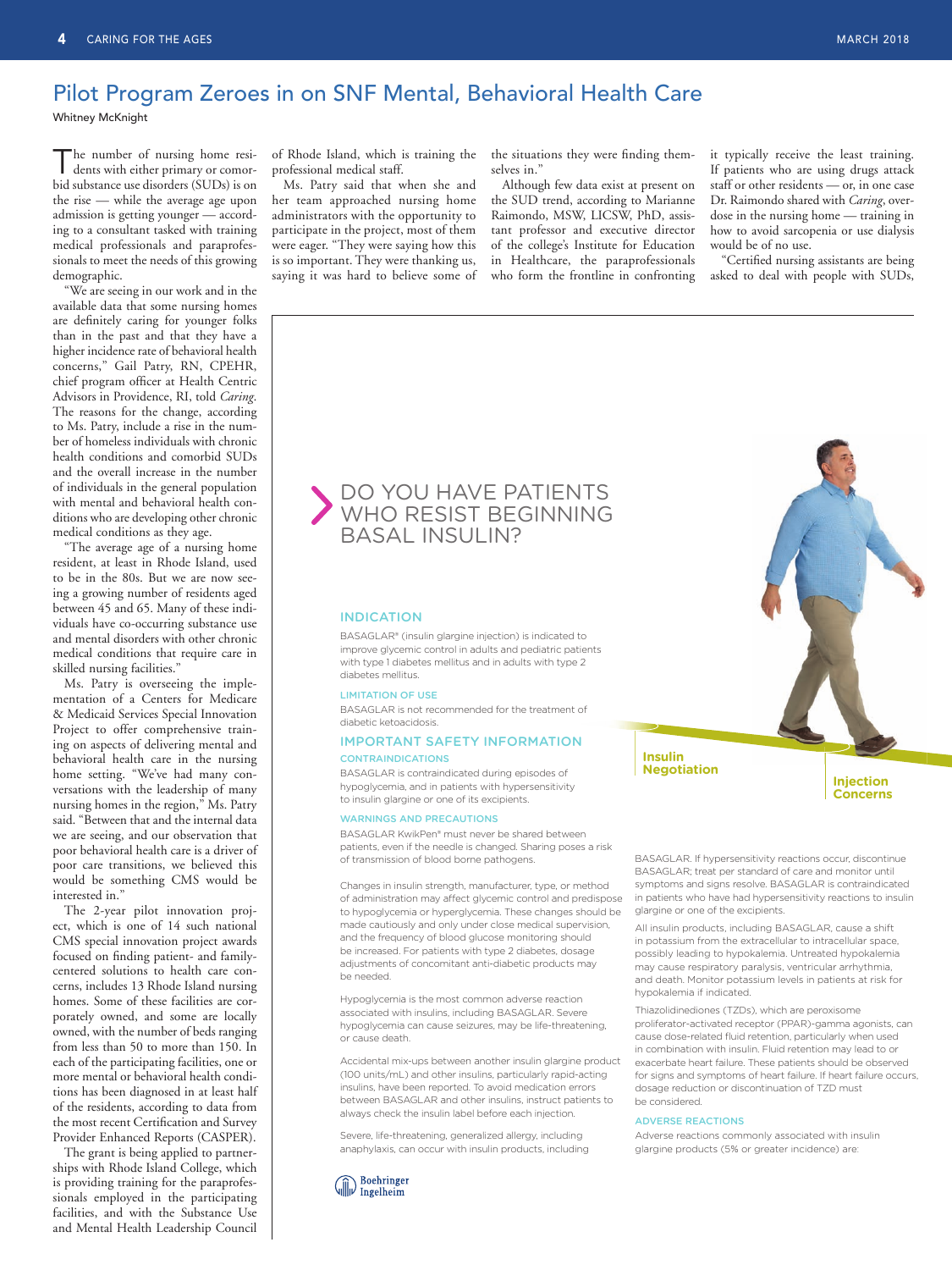### Pilot Program Zeroes in on SNF Mental, Behavioral Health Care

Whitney McKnight

bid substance use disor ders (SUDs) is on  $\prod$  he number of nursing home resi-<br>dents with either primary or comorthe rise — while the average age upon admission is getting younger — according to a consultant tasked with training medical professionals and paraprofessionals to meet the needs of this growing demographic.

"We are seeing in our work and in the available data that some nursing homes are definitely caring for younger folks than in the past and that they have a higher incidence rate of behavioral health concerns," Gail Patry, RN, CPEHR, chief program officer at Health Centric Advisors in Providence, RI, told *Caring*. The reasons for the change, according to Ms. Patry, include a rise in the number of homeless individuals with chronic health conditions and comorbid SUDs and the overall increase in the number of individuals in the general population with mental and behavioral health conditions who are developing other chronic medical conditions as they age.

"The average age of a nursing home resident, at least in Rhode Island, used to be in the 80s. But we are now seeing a growing number of residents aged between 45 and 65. Many of these individuals have co-occurring substance use and mental disorders with other chronic medical conditions that require care in skilled nursing facilities.'

Ms. Patry is overseeing the implementation of a Centers for Medicare & Medicaid Services Special Innovation Project to offer comprehensive training on aspects of delivering mental and behavioral health care in the nursing home setting. "We've had many conversations with the leadership of many nursing homes in the region," Ms. Patry said. "Between that and the internal data we are seeing, and our observation that poor behavioral health care is a driver of poor care transitions, we believed this would be something CMS would be interested in."

The 2-year pilot innovation project, which is one of 14 such national CMS special innovation project awards focused on finding patient- and familycentered solutions to health care concerns, includes 13 Rhode Island nursing homes. Some of these facilities are corporately owned, and some are locally owned, with the number of beds ranging from less than 50 to more than 150. In each of the participating facilities, one or more mental or behavioral health conditions has been diagnosed in at least half of the residents, according to data from the most recent Certification and Survey Provider Enhanced Reports (CASPER).

The grant is being applied to partnerships with Rhode Island College, which is providing training for the paraprofessionals employed in the participating facilities, and with the Substance Use and Mental Health Leadership Council

of Rhode Island, which is training the professional medical staff.

Ms. Patry said that when she and her team approached nursing home administrators with the opportunity to participate in the project, most of them were eager. "They were saying how this is so important. They were thanking us, saying it was hard to believe some of the situations they were finding themselves in.'

Although few data exist at present on the SUD trend, according to Marianne Raimondo, MSW, LICSW, PhD, assistant professor and executive director of the college's Institute for Education in Healthcare, the paraprofessionals who form the frontline in confronting it typically receive the least training. If patients who are using drugs attack staff or other residents — or, in one case Dr. Raimondo shared with *Caring*, overdose in the nursing home — training in how to avoid sarcopenia or use dialysis would be of no use.

"Certified nursing assistants are being asked to deal with people with SUDs,

## DO YOU HAVE PATIENTS<br>WHO RESIST BEGINNING BASAL INSULIN?

#### **INDICATION**

BASAGLAR® (insulin glargine injection) is indicated to improve glycemic control in adults and pediatric patients with type 1 diabetes mellitus and in adults with type 2 diabetes mellitus.

#### LIMITATION OF USE

BASAGLAR is not recommended for the treatment of diabetic ketoacidosis.

#### IMPORTANT SAFETY INFORMATION **CONTRAINDICATIONS**

BASAGLAR is contraindicated during episodes of hypoglycemia, and in patients with hypersensitivity to insulin glargine or one of its excipients.

#### WARNINGS AND PRECAUTIONS

BASAGLAR KwikPen® must never be shared between patients, even if the needle is changed. Sharing poses a risk of transmission of blood borne pathogens.

Changes in insulin strength, manufacturer, type, or method of administration may affect glycemic control and predispose to hypoglycemia or hyperglycemia. These changes should be made cautiously and only under close medical supervision, and the frequency of blood glucose monitoring should be increased. For patients with type 2 diabetes, dosage adjustments of concomitant anti-diabetic products may be needed.

Hypoglycemia is the most common adverse reaction associated with insulins, including BASAGLAR. Severe hypoglycemia can cause seizures, may be life-threatening, or cause death.

Accidental mix-ups between another insulin glargine product (100 units/mL) and other insulins, particularly rapid-acting insulins, have been reported. To avoid medication errors between BASAGLAR and other insulins, instruct patients to always check the insulin label before each injection.

Severe, life-threatening, generalized allergy, including anaphylaxis, can occur with insulin products, including



**Insulin Negotiation**

**Injection Concerns**

BASAGLAR. If hypersensitivity reactions occur, discontinue BASAGLAR; treat per standard of care and monitor until symptoms and signs resolve. BASAGLAR is contraindicated in patients who have had hypersensitivity reactions to insulin glargine or one of the excipients.

All insulin products, including BASAGLAR, cause a shift in potassium from the extracellular to intracellular space, possibly leading to hypokalemia. Untreated hypokalemia may cause respiratory paralysis, ventricular arrhythmia, and death. Monitor potassium levels in patients at risk for hypokalemia if indicated.

Thiazolidinediones (TZDs), which are peroxisome proliferator-activated receptor (PPAR)-gamma agonists, can cause dose-related fluid retention, particularly when used in combination with insulin. Fluid retention may lead to or exacerbate heart failure. These patients should be observed for signs and symptoms of heart failure. If heart failure occurs, dosage reduction or discontinuation of TZD must be considered.

#### ADVERSE REACTIONS

Adverse reactions commonly associated with insulin glargine products (5% or greater incidence) are: